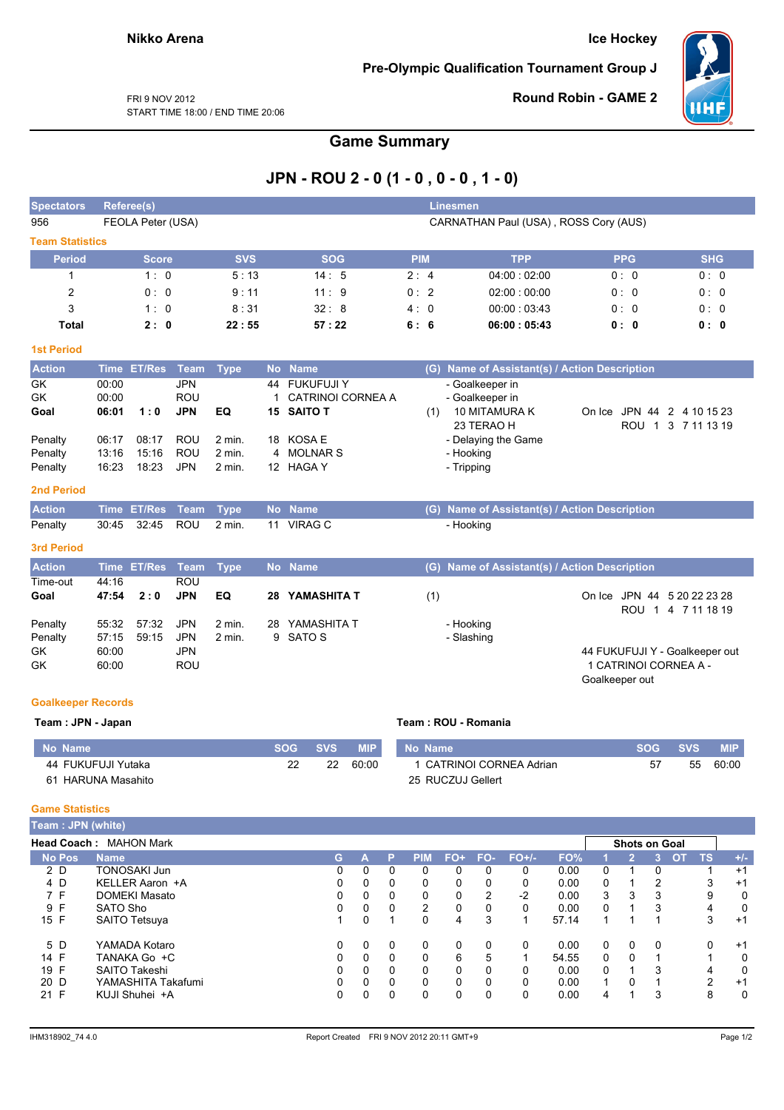### **Ice Hockey**

Pre-Olympic Qualification Tournament Group J



**Round Robin - GAME 2** 

FRI 9 NOV 2012 START TIME 18:00 / END TIME 20:06

## **Game Summary**

# JPN - ROU 2 - 0 (1 - 0 , 0 - 0 , 1 - 0)

| <b>Spectators</b>      |                | <b>Referee(s)</b> | <b>Linesmen</b>          |             |           |                                           |            |                                       |                                               |                |                       |                                                   |  |  |  |
|------------------------|----------------|-------------------|--------------------------|-------------|-----------|-------------------------------------------|------------|---------------------------------------|-----------------------------------------------|----------------|-----------------------|---------------------------------------------------|--|--|--|
| 956                    |                | FEOLA Peter (USA) |                          |             |           |                                           |            | CARNATHAN Paul (USA), ROSS Cory (AUS) |                                               |                |                       |                                                   |  |  |  |
| <b>Team Statistics</b> |                |                   |                          |             |           |                                           |            |                                       |                                               |                |                       |                                                   |  |  |  |
| <b>Period</b>          |                | <b>Score</b>      |                          | <b>SVS</b>  |           | <b>SOG</b>                                | <b>PIM</b> |                                       | <b>TPP</b>                                    |                | <b>PPG</b>            | <b>SHG</b>                                        |  |  |  |
| 1                      |                | 1:0               |                          | 5:13        |           | 14:5                                      | 2:4        |                                       | 04:00:02:00                                   |                | 0:0                   | 0:0                                               |  |  |  |
| $\overline{c}$         |                | 0:0               |                          | 9:11        |           | 11:9                                      | 0:2        |                                       | 02:00:00:00                                   |                | 0:0                   | 0:0                                               |  |  |  |
| 3                      |                | 1:0               |                          | 8:31        |           | 32:8                                      | 4:0        |                                       | 00:00:03:43                                   |                | 0:0                   | 0:0                                               |  |  |  |
| <b>Total</b>           |                | 2:0               |                          | 22:55       |           | 57:22                                     | 6:6        |                                       | 06:00:05:43                                   |                | 0:0                   | 0: 0                                              |  |  |  |
| <b>1st Period</b>      |                |                   |                          |             |           |                                           |            |                                       |                                               |                |                       |                                                   |  |  |  |
| <b>Action</b>          | <b>Time</b>    | <b>ET/Res</b>     | <b>Team</b>              | <b>Type</b> | <b>No</b> | <b>Name</b>                               |            |                                       | (G) Name of Assistant(s) / Action Description |                |                       |                                                   |  |  |  |
| <b>GK</b><br><b>GK</b> | 00:00<br>00:00 |                   | <b>JPN</b><br><b>ROU</b> |             | 1         | 44 FUKUFUJI Y<br><b>CATRINOI CORNEA A</b> |            |                                       | - Goalkeeper in<br>- Goalkeeper in            |                |                       |                                                   |  |  |  |
| Goal                   | 06:01          | 1:0               | <b>JPN</b>               | EQ          | 15        | <b>SAITO T</b>                            |            | (1)                                   | 10 MITAMURA K<br>23 TERAO H                   |                | ROU 1                 | On Ice JPN 44 2 4 10 15 23<br>3 7 11 13 19        |  |  |  |
| Penalty                | 06:17          | 08:17             | <b>ROU</b>               | $2$ min.    | 18        | <b>KOSA E</b>                             |            |                                       | - Delaying the Game                           |                |                       |                                                   |  |  |  |
| Penalty                | 13:16          | 15:16             | ROU                      | $2$ min.    | 4         | <b>MOLNAR S</b>                           |            |                                       | - Hooking                                     |                |                       |                                                   |  |  |  |
| Penalty                | 16:23          | 18:23             | <b>JPN</b>               | $2$ min.    |           | 12 HAGA Y                                 |            |                                       | - Tripping                                    |                |                       |                                                   |  |  |  |
| <b>2nd Period</b>      |                |                   |                          |             |           |                                           |            |                                       |                                               |                |                       |                                                   |  |  |  |
| <b>Action</b>          |                | Time ET/Res       | <b>Team</b>              | <b>Type</b> |           | No Name                                   |            |                                       | (G) Name of Assistant(s) / Action Description |                |                       |                                                   |  |  |  |
| Penalty                | 30:45          | 32:45             | <b>ROU</b>               | $2$ min.    |           | 11 VIRAG C                                |            |                                       | - Hooking                                     |                |                       |                                                   |  |  |  |
| <b>3rd Period</b>      |                |                   |                          |             |           |                                           |            |                                       |                                               |                |                       |                                                   |  |  |  |
| <b>Action</b>          |                | Time ET/Res       | Team                     | <b>Type</b> |           | No Name                                   |            | (G)                                   | Name of Assistant(s) / Action Description     |                |                       |                                                   |  |  |  |
| Time-out               | 44:16          |                   | ROU                      |             |           |                                           |            |                                       |                                               |                |                       |                                                   |  |  |  |
| Goal                   | 47:54          | 2:0               | <b>JPN</b>               | EQ          | 28        | YAMASHITA T                               |            | (1)                                   |                                               |                |                       | On Ice JPN 44 5 20 22 23 28<br>ROU 1 4 7 11 18 19 |  |  |  |
| Penalty                | 55:32          | 57:32             | <b>JPN</b>               | $2$ min.    | 28        | YAMASHITA T                               |            |                                       | - Hooking                                     |                |                       |                                                   |  |  |  |
| Penalty                | 57:15          | 59:15             | <b>JPN</b>               | $2$ min.    | 9         | SATO S                                    |            |                                       | - Slashing                                    |                |                       |                                                   |  |  |  |
| <b>GK</b>              | 60:00          |                   | <b>JPN</b>               |             |           |                                           |            |                                       |                                               |                |                       | 44 FUKUFUJI Y - Goalkeeper out                    |  |  |  |
| GK                     | 60:00          |                   | ROU                      |             |           |                                           |            |                                       |                                               | Goalkeeper out | 1 CATRINOI CORNEA A - |                                                   |  |  |  |

#### **Goalkeeper Records**  $IDM = L$

| Team: JPN - Japan  |            |            |            | Team : ROU - Romania     |         |     |            |
|--------------------|------------|------------|------------|--------------------------|---------|-----|------------|
| No Name            | <b>SOG</b> | <b>SVS</b> | <b>MIP</b> | l No Name                | SOG SVS |     | <b>MIP</b> |
| 44 FUKUFUJI Yutaka | 22         | 22         | 60:00      | 1 CATRINOI CORNEA Adrian | 57      | -55 | 60:00      |
| 61 HARUNA Masahito |            |            |            | 25 RUCZUJ Gellert        |         |     |            |

#### **Game Statistics**

| <b>Team: JPN (white)</b> |                               |    |              |          |            |          |          |            |       |          |          |                      |                 |       |
|--------------------------|-------------------------------|----|--------------|----------|------------|----------|----------|------------|-------|----------|----------|----------------------|-----------------|-------|
|                          | <b>Head Coach: MAHON Mark</b> |    |              |          |            |          |          |            |       |          |          | <b>Shots on Goal</b> |                 |       |
| <b>No Pos</b>            | <b>Name</b>                   | G. | А            | P        | <b>PIM</b> | $FO+$    |          | $FO-FO+/-$ | FO%   |          | 2        | 13.                  | TS<br><b>OT</b> | $+/-$ |
| 2 D                      | <b>TONOSAKI Jun</b>           | 0  | 0            | 0        | 0          | 0        | $\Omega$ | 0          | 0.00  | 0        |          |                      |                 | $+1$  |
| 4 D                      | KELLER Aaron +A               | 0  | 0            | 0        | 0          | 0        | 0        | 0          | 0.00  | 0        |          | 2                    | 3               | $+1$  |
| 7 F                      | DOMEKI Masato                 | 0  | 0            | 0        | 0          | 0        | 2        | $-2$       | 0.00  | 3        | 3        | 3                    | 9               | 0     |
| 9 F                      | SATO Sho                      | 0  | $\mathbf{0}$ | 0        | 2          | 0        |          | 0          | 0.00  | $\Omega$ |          | 3                    | 4               | 0     |
| 15 F                     | SAITO Tetsuya                 |    | 0            |          | $\Omega$   | 4        | 3        |            | 57.14 | 1        |          |                      | 3               | $+1$  |
| 5 D                      | YAMADA Kotaro                 | 0  | 0            | 0        | 0          | 0        | 0        | $\Omega$   | 0.00  | 0        | 0        | $\Omega$             | 0               | $+1$  |
| 14 F                     | TANAKA Go +C                  | 0  | $\Omega$     | $\Omega$ | $\Omega$   | 6        | 5        |            | 54.55 | 0        | $\Omega$ |                      |                 | 0     |
| 19 F                     | <b>SAITO Takeshi</b>          |    | $\mathbf{0}$ | 0        | $\Omega$   | 0        |          | 0          | 0.00  | $\Omega$ |          | 3                    | 4               | 0     |
| 20 D                     | YAMASHITA Takafumi            | 0  | $\Omega$     | 0        | $\Omega$   | $\Omega$ | 0        | $\Omega$   | 0.00  | 1        | 0        |                      | ົ               | $+1$  |
| 21 F                     | KUJI Shuhei +A                | 0  | 0            | 0        | 0          | 0        | 0        | 0          | 0.00  | 4        |          | 3                    | 8               | 0     |